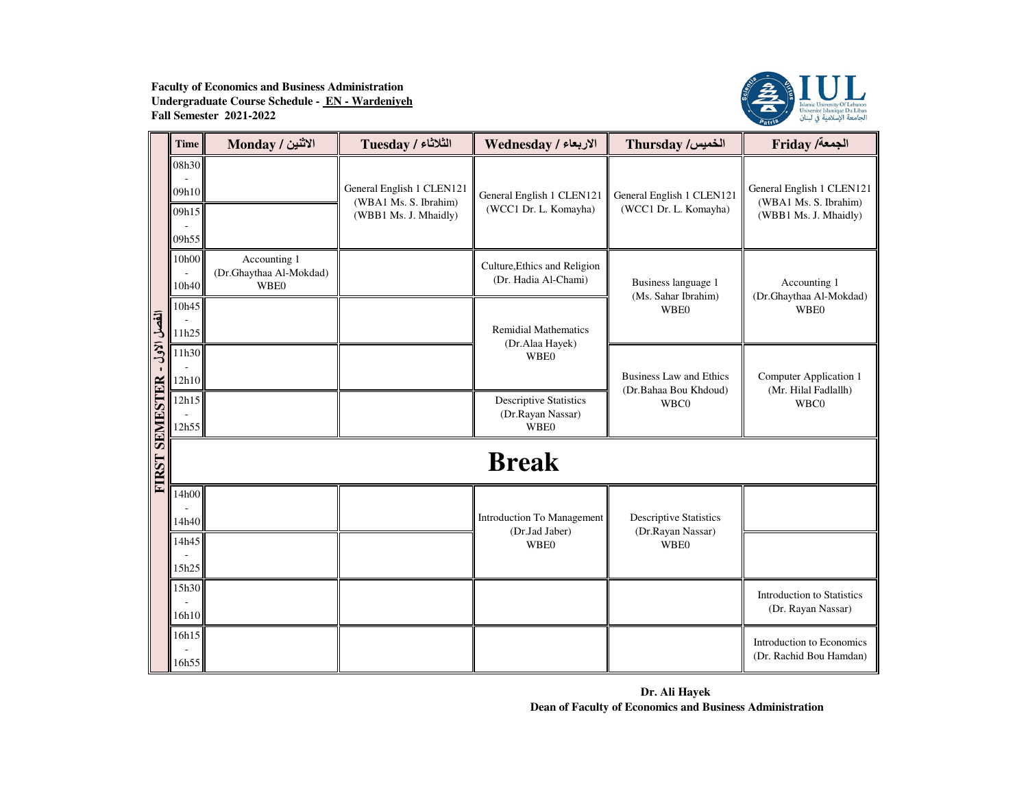

|                              | <b>Time</b>                      | الاثنين / Monday                                | $Tuesday / 2$ الثلاثاء                                                      | الاربعاء / Wednesday                                              | Thursday /الخميس                                        | Friday /ألجمعة                                                              |  |  |  |
|------------------------------|----------------------------------|-------------------------------------------------|-----------------------------------------------------------------------------|-------------------------------------------------------------------|---------------------------------------------------------|-----------------------------------------------------------------------------|--|--|--|
|                              | 08h30<br>09h10<br>09h15<br>09h55 |                                                 | General English 1 CLEN121<br>(WBA1 Ms. S. Ibrahim)<br>(WBB1 Ms. J. Mhaidly) | General English 1 CLEN121<br>(WCC1 Dr. L. Komayha)                | General English 1 CLEN121<br>(WCC1 Dr. L. Komayha)      | General English 1 CLEN121<br>(WBA1 Ms. S. Ibrahim)<br>(WBB1 Ms. J. Mhaidly) |  |  |  |
|                              | 10h00<br>10h40                   | Accounting 1<br>(Dr.Ghaythaa Al-Mokdad)<br>WBE0 |                                                                             | Culture, Ethics and Religion<br>(Dr. Hadia Al-Chami)              | Business language 1<br>(Ms. Sahar Ibrahim)              | Accounting 1<br>(Dr.Ghaythaa Al-Mokdad)                                     |  |  |  |
|                              | 10h45<br>11h25                   |                                                 |                                                                             | <b>Remidial Mathematics</b><br>(Dr.Alaa Hayek)                    | WBE0                                                    | WBE0                                                                        |  |  |  |
| انفصل الاول - FIRST SEMESTER | 11h30<br>12h10                   |                                                 |                                                                             | <b>WBE0</b>                                                       | <b>Business Law and Ethics</b><br>(Dr.Bahaa Bou Khdoud) | Computer Application 1<br>(Mr. Hilal Fadlallh)                              |  |  |  |
|                              | 12h15<br>12h55                   |                                                 |                                                                             | <b>Descriptive Statistics</b><br>(Dr.Rayan Nassar)<br><b>WBE0</b> | WBC0                                                    | WBC0                                                                        |  |  |  |
|                              | <b>Break</b>                     |                                                 |                                                                             |                                                                   |                                                         |                                                                             |  |  |  |
|                              | 14h00<br>14h40                   |                                                 |                                                                             | Introduction To Management<br>(Dr.Jad Jaber)                      | <b>Descriptive Statistics</b><br>(Dr.Rayan Nassar)      |                                                                             |  |  |  |
|                              | 14h45<br>15h25                   |                                                 |                                                                             | <b>WBE0</b>                                                       | <b>WBE0</b>                                             |                                                                             |  |  |  |
|                              | 15h30<br>16h10                   |                                                 |                                                                             |                                                                   |                                                         | <b>Introduction to Statistics</b><br>(Dr. Rayan Nassar)                     |  |  |  |
|                              | 16h15<br>16h55                   |                                                 |                                                                             |                                                                   |                                                         | Introduction to Economics<br>(Dr. Rachid Bou Hamdan)                        |  |  |  |

**Dr. Ali Hayek Dean of Faculty of Economics and Business Administration**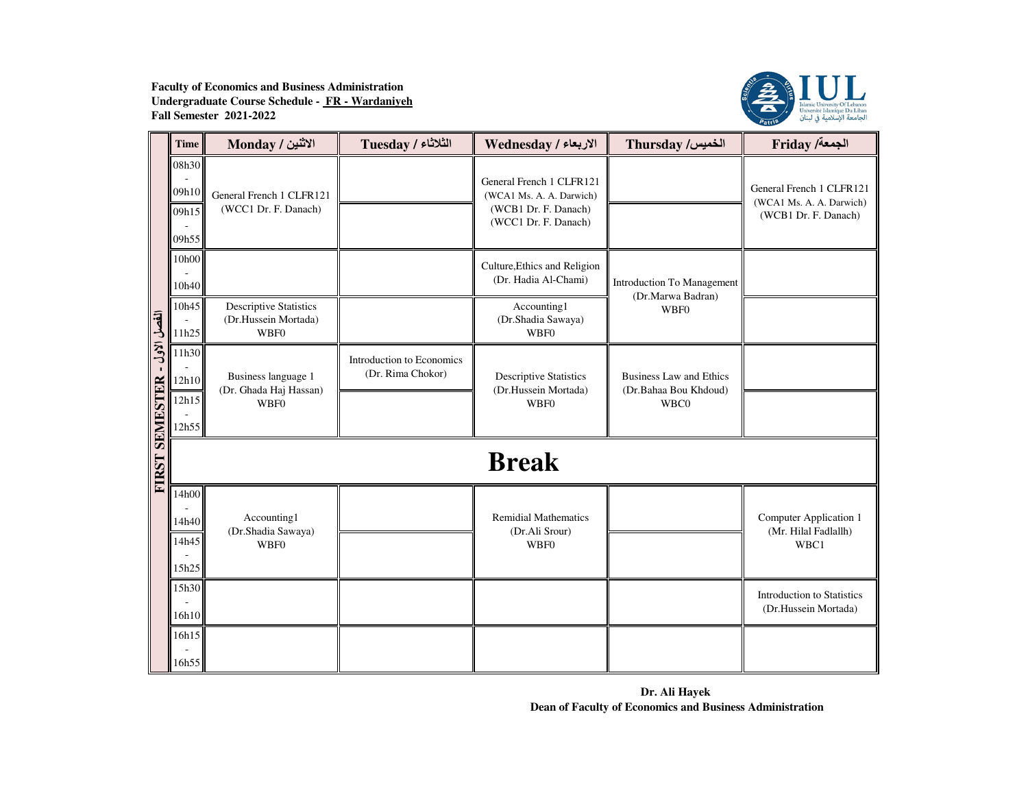

|                              | <b>Time</b>                      | الاثنين / Monday                                                     | الثلاثاء / Tuesday                             | الاربعاء / Wednesday                                                                                 | Thursday /الخميس                                        | <b>Friday /أجمعة</b> /                                                       |  |  |
|------------------------------|----------------------------------|----------------------------------------------------------------------|------------------------------------------------|------------------------------------------------------------------------------------------------------|---------------------------------------------------------|------------------------------------------------------------------------------|--|--|
|                              | 08h30<br>09h10<br>09h15<br>09h55 | General French 1 CLFR121<br>(WCC1 Dr. F. Danach)                     |                                                | General French 1 CLFR121<br>(WCA1 Ms. A. A. Darwich)<br>(WCB1 Dr. F. Danach)<br>(WCC1 Dr. F. Danach) |                                                         | General French 1 CLFR121<br>(WCA1 Ms. A. A. Darwich)<br>(WCB1 Dr. F. Danach) |  |  |
|                              | 10h00<br>10h40                   |                                                                      |                                                | Culture, Ethics and Religion<br>(Dr. Hadia Al-Chami)                                                 | Introduction To Management                              |                                                                              |  |  |
|                              | 10h45<br>11h25                   | <b>Descriptive Statistics</b><br>(Dr.Hussein Mortada)<br><b>WBF0</b> |                                                | Accounting1<br>(Dr.Shadia Sawaya)<br>WBF0                                                            | (Dr.Marwa Badran)<br>WBF0                               |                                                                              |  |  |
| الفصل الأول - FIRST SEMESTER | 11h30<br>12h10                   | Business language 1<br>(Dr. Ghada Haj Hassan)                        | Introduction to Economics<br>(Dr. Rima Chokor) | <b>Descriptive Statistics</b><br>(Dr.Hussein Mortada)                                                | <b>Business Law and Ethics</b><br>(Dr.Bahaa Bou Khdoud) |                                                                              |  |  |
|                              | 12h15<br>12h55                   | <b>WBF0</b>                                                          |                                                | <b>WBF0</b>                                                                                          | WBC0                                                    |                                                                              |  |  |
|                              | <b>Break</b>                     |                                                                      |                                                |                                                                                                      |                                                         |                                                                              |  |  |
|                              | 14h00<br>14h40<br>14h45<br>15h25 | Accounting1<br>(Dr.Shadia Sawaya)<br><b>WBF0</b>                     |                                                | <b>Remidial Mathematics</b><br>(Dr.Ali Srour)<br><b>WBF0</b>                                         |                                                         | Computer Application 1<br>(Mr. Hilal Fadlallh)<br>WBC1                       |  |  |
|                              | 15h30<br>16h10                   |                                                                      |                                                |                                                                                                      |                                                         | <b>Introduction to Statistics</b><br>(Dr.Hussein Mortada)                    |  |  |
|                              | 16h15<br>16h55                   |                                                                      |                                                |                                                                                                      |                                                         |                                                                              |  |  |

**Dr. Ali Hayek Dean of Faculty of Economics and Business Administration**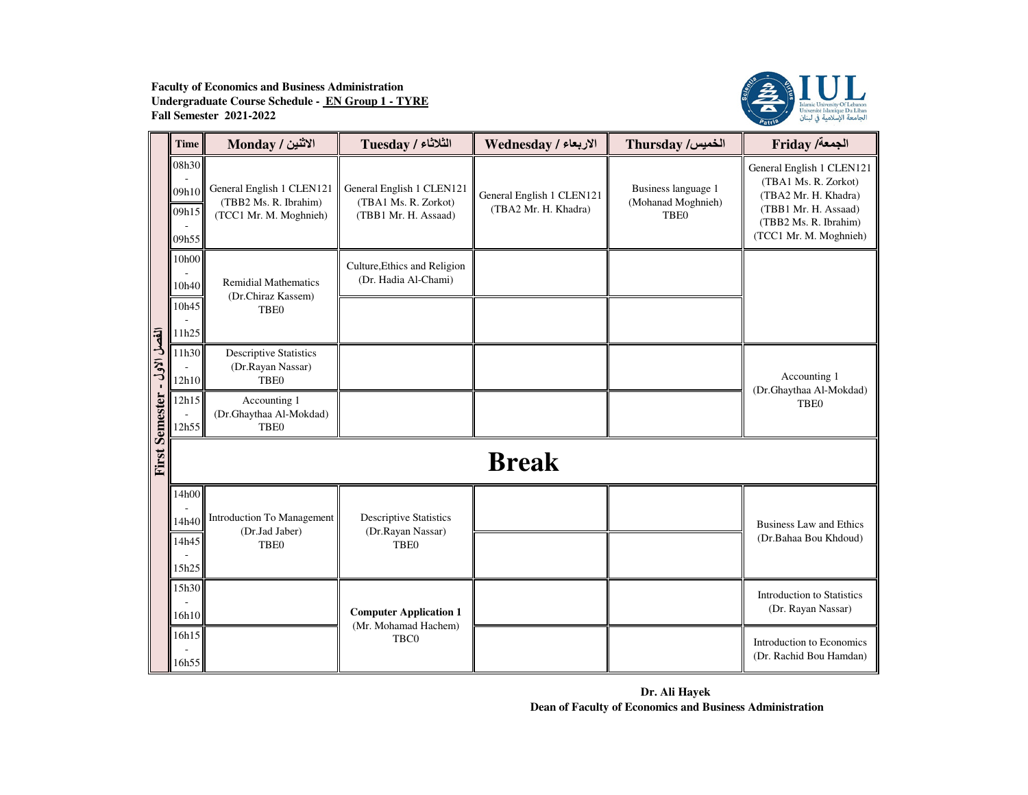

|                               | <b>Time</b>                      | الاثنين / Monday                                                             | الثلاثاء / Tuesday                                                        | الاربعاء / Wednesday                              | Thursday /الخميس                                         | <b>Friday /أجمعة</b> /                                                                                                                               |
|-------------------------------|----------------------------------|------------------------------------------------------------------------------|---------------------------------------------------------------------------|---------------------------------------------------|----------------------------------------------------------|------------------------------------------------------------------------------------------------------------------------------------------------------|
|                               | 08h30<br>09h10<br>09h15<br>09h55 | General English 1 CLEN121<br>(TBB2 Ms. R. Ibrahim)<br>(TCC1 Mr. M. Moghnieh) | General English 1 CLEN121<br>(TBA1 Ms. R. Zorkot)<br>(TBB1 Mr. H. Assaad) | General English 1 CLEN121<br>(TBA2 Mr. H. Khadra) | Business language 1<br>(Mohanad Moghnieh)<br><b>TBE0</b> | General English 1 CLEN121<br>(TBA1 Ms. R. Zorkot)<br>(TBA2 Mr. H. Khadra)<br>(TBB1 Mr. H. Assaad)<br>(TBB2 Ms. R. Ibrahim)<br>(TCC1 Mr. M. Moghnieh) |
|                               | 10h00<br>10h40<br>10h45<br>11h25 | <b>Remidial Mathematics</b><br>(Dr.Chiraz Kassem)<br>TBE <sub>0</sub>        | Culture, Ethics and Religion<br>(Dr. Hadia Al-Chami)                      |                                                   |                                                          |                                                                                                                                                      |
| الفصل الاول<br>$\blacksquare$ | 11h30<br>12h10                   | <b>Descriptive Statistics</b><br>(Dr.Rayan Nassar)<br>TBE <sub>0</sub>       |                                                                           |                                                   |                                                          | Accounting 1<br>(Dr.Ghaythaa Al-Mokdad)                                                                                                              |
| <b>First Semester</b>         | 12h15<br>12h55                   | Accounting 1<br>(Dr.Ghaythaa Al-Mokdad)<br>TBE <sub>0</sub>                  |                                                                           |                                                   |                                                          | TBE <sub>0</sub>                                                                                                                                     |
|                               |                                  |                                                                              |                                                                           | <b>Break</b>                                      |                                                          |                                                                                                                                                      |
|                               | 14h00<br>14h40<br>14h45<br>15h25 | Introduction To Management<br>(Dr.Jad Jaber)<br><b>TBE0</b>                  | <b>Descriptive Statistics</b><br>(Dr.Rayan Nassar)<br><b>TBE0</b>         |                                                   |                                                          | <b>Business Law and Ethics</b><br>(Dr.Bahaa Bou Khdoud)                                                                                              |
|                               | 15h30<br>16h10                   |                                                                              | <b>Computer Application 1</b>                                             |                                                   |                                                          | <b>Introduction to Statistics</b><br>(Dr. Rayan Nassar)                                                                                              |
|                               | 16h15<br>16h55                   |                                                                              | (Mr. Mohamad Hachem)<br>TBC0                                              |                                                   |                                                          | Introduction to Economics<br>(Dr. Rachid Bou Hamdan)                                                                                                 |

**Dr. Ali Hayek Dean of Faculty of Economics and Business Administration**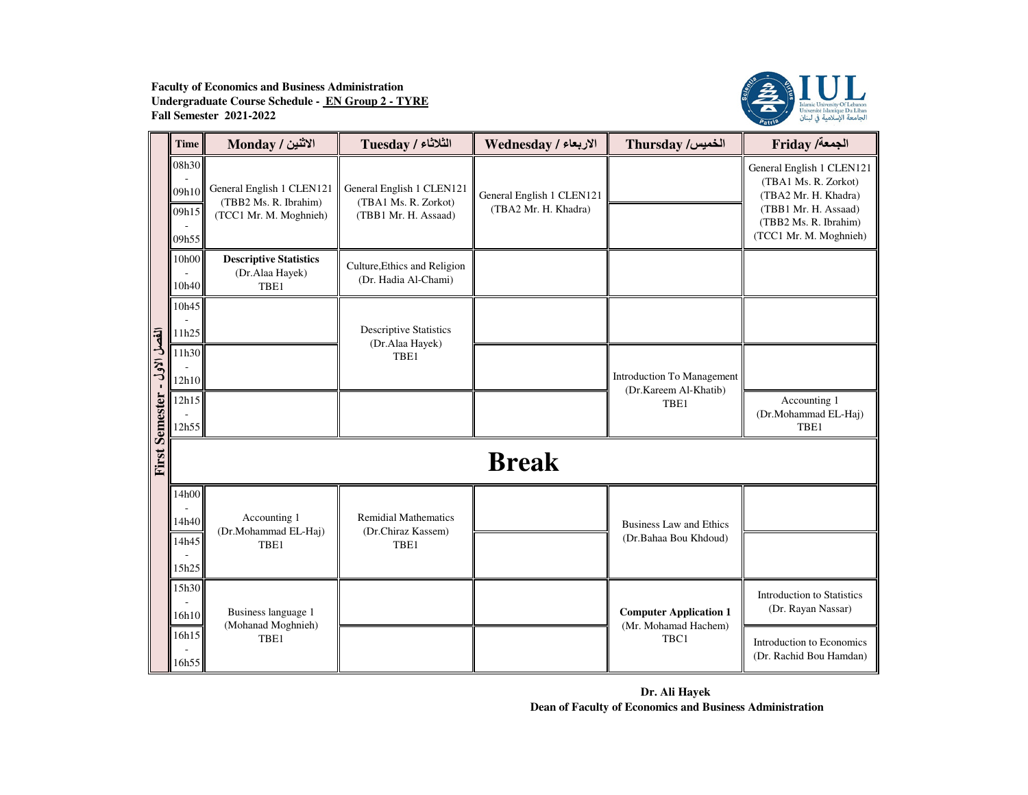

|                        | Time                             | الاثنين / Monday                                                             | الثلاثاء / Tuesday                                                        | الاربعاء / Wednesday                              | Thursday /الخميس                                        | Friday /الجمعة                                                                                                                                       |  |  |  |
|------------------------|----------------------------------|------------------------------------------------------------------------------|---------------------------------------------------------------------------|---------------------------------------------------|---------------------------------------------------------|------------------------------------------------------------------------------------------------------------------------------------------------------|--|--|--|
|                        | 08h30<br>09h10<br>09h15<br>09h55 | General English 1 CLEN121<br>(TBB2 Ms. R. Ibrahim)<br>(TCC1 Mr. M. Moghnieh) | General English 1 CLEN121<br>(TBA1 Ms. R. Zorkot)<br>(TBB1 Mr. H. Assaad) | General English 1 CLEN121<br>(TBA2 Mr. H. Khadra) |                                                         | General English 1 CLEN121<br>(TBA1 Ms. R. Zorkot)<br>(TBA2 Mr. H. Khadra)<br>(TBB1 Mr. H. Assaad)<br>(TBB2 Ms. R. Ibrahim)<br>(TCC1 Mr. M. Moghnieh) |  |  |  |
|                        | 10h00<br>10h40                   | <b>Descriptive Statistics</b><br>(Dr.Alaa Hayek)<br>TBE1                     | Culture, Ethics and Religion<br>(Dr. Hadia Al-Chami)                      |                                                   |                                                         |                                                                                                                                                      |  |  |  |
|                        | 10h45<br>11h25                   |                                                                              | <b>Descriptive Statistics</b><br>(Dr.Alaa Hayek)                          |                                                   |                                                         |                                                                                                                                                      |  |  |  |
| First Semester - 1'set | 11h30<br>12h10                   |                                                                              | TBE1                                                                      |                                                   | Introduction To Management<br>(Dr.Kareem Al-Khatib)     |                                                                                                                                                      |  |  |  |
|                        | 12h15<br>12h55                   |                                                                              |                                                                           |                                                   | TBE1                                                    | Accounting 1<br>(Dr.Mohammad EL-Haj)<br>TBE1                                                                                                         |  |  |  |
|                        | <b>Break</b>                     |                                                                              |                                                                           |                                                   |                                                         |                                                                                                                                                      |  |  |  |
|                        | 14h00<br>14h40<br>14h45<br>15h25 | Accounting 1<br>(Dr.Mohammad EL-Haj)<br>TBE1                                 | <b>Remidial Mathematics</b><br>(Dr.Chiraz Kassem)<br>TBE1                 |                                                   | <b>Business Law and Ethics</b><br>(Dr.Bahaa Bou Khdoud) |                                                                                                                                                      |  |  |  |
|                        | 15h30<br>16h10                   | Business language 1<br>(Mohanad Moghnieh)                                    |                                                                           |                                                   | <b>Computer Application 1</b><br>(Mr. Mohamad Hachem)   | <b>Introduction to Statistics</b><br>(Dr. Rayan Nassar)                                                                                              |  |  |  |
|                        | 16h15<br>16h55                   | TBE1                                                                         |                                                                           |                                                   | TBC1                                                    | Introduction to Economics<br>(Dr. Rachid Bou Hamdan)                                                                                                 |  |  |  |

**Dr. Ali Hayek Dean of Faculty of Economics and Business Administration**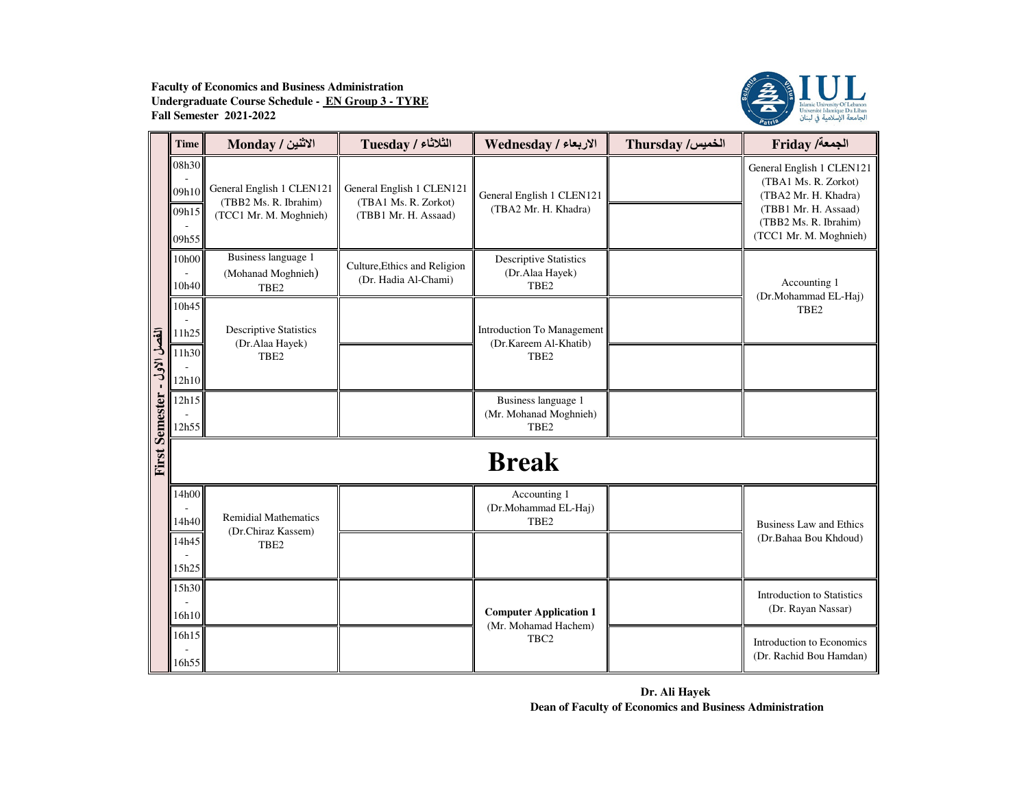

|                              | <b>Time</b>                      | الاثنين / Monday                                                             | Tuesday / الثلاثاء                                                        | الاربعاء / Wednesday                                                    | Thursday /الخميس | Friday /الجمعة                                                                                                                                       |  |  |
|------------------------------|----------------------------------|------------------------------------------------------------------------------|---------------------------------------------------------------------------|-------------------------------------------------------------------------|------------------|------------------------------------------------------------------------------------------------------------------------------------------------------|--|--|
|                              | 08h30<br>09h10<br>09h15<br>09h55 | General English 1 CLEN121<br>(TBB2 Ms. R. Ibrahim)<br>(TCC1 Mr. M. Moghnieh) | General English 1 CLEN121<br>(TBA1 Ms. R. Zorkot)<br>(TBB1 Mr. H. Assaad) | General English 1 CLEN121<br>(TBA2 Mr. H. Khadra)                       |                  | General English 1 CLEN121<br>(TBA1 Ms. R. Zorkot)<br>(TBA2 Mr. H. Khadra)<br>(TBB1 Mr. H. Assaad)<br>(TBB2 Ms. R. Ibrahim)<br>(TCC1 Mr. M. Moghnieh) |  |  |
|                              | 10h00<br>10h40                   | Business language 1<br>(Mohanad Moghnieh)<br>TBE <sub>2</sub>                | Culture, Ethics and Religion<br>(Dr. Hadia Al-Chami)                      | <b>Descriptive Statistics</b><br>(Dr.Alaa Hayek)<br>TBE <sub>2</sub>    |                  | Accounting 1<br>(Dr.Mohammad EL-Haj)                                                                                                                 |  |  |
| انفصل الأول - First Semester | 10h45<br>11h25<br>11h30<br>12h10 | <b>Descriptive Statistics</b><br>(Dr.Alaa Hayek)<br>TBE <sub>2</sub>         |                                                                           | Introduction To Management<br>(Dr.Kareem Al-Khatib)<br>TBE <sub>2</sub> |                  | TBE <sub>2</sub>                                                                                                                                     |  |  |
|                              | 12h15<br>12h55                   |                                                                              |                                                                           | Business language 1<br>(Mr. Mohanad Moghnieh)<br>TBE <sub>2</sub>       |                  |                                                                                                                                                      |  |  |
|                              | <b>Break</b>                     |                                                                              |                                                                           |                                                                         |                  |                                                                                                                                                      |  |  |
|                              | 14h00<br>14h40<br>14h45<br>15h25 | <b>Remidial Mathematics</b><br>(Dr.Chiraz Kassem)<br>TBE <sub>2</sub>        |                                                                           | Accounting 1<br>(Dr.Mohammad EL-Haj)<br>TBE <sub>2</sub>                |                  | <b>Business Law and Ethics</b><br>(Dr.Bahaa Bou Khdoud)                                                                                              |  |  |
|                              | 15h30<br>16h10                   |                                                                              |                                                                           | <b>Computer Application 1</b>                                           |                  | <b>Introduction to Statistics</b><br>(Dr. Rayan Nassar)                                                                                              |  |  |
|                              | 16h15<br>16h55                   |                                                                              |                                                                           | (Mr. Mohamad Hachem)<br>TBC <sub>2</sub>                                |                  | Introduction to Economics<br>(Dr. Rachid Bou Hamdan)                                                                                                 |  |  |

**Dr. Ali Hayek Dean of Faculty of Economics and Business Administration**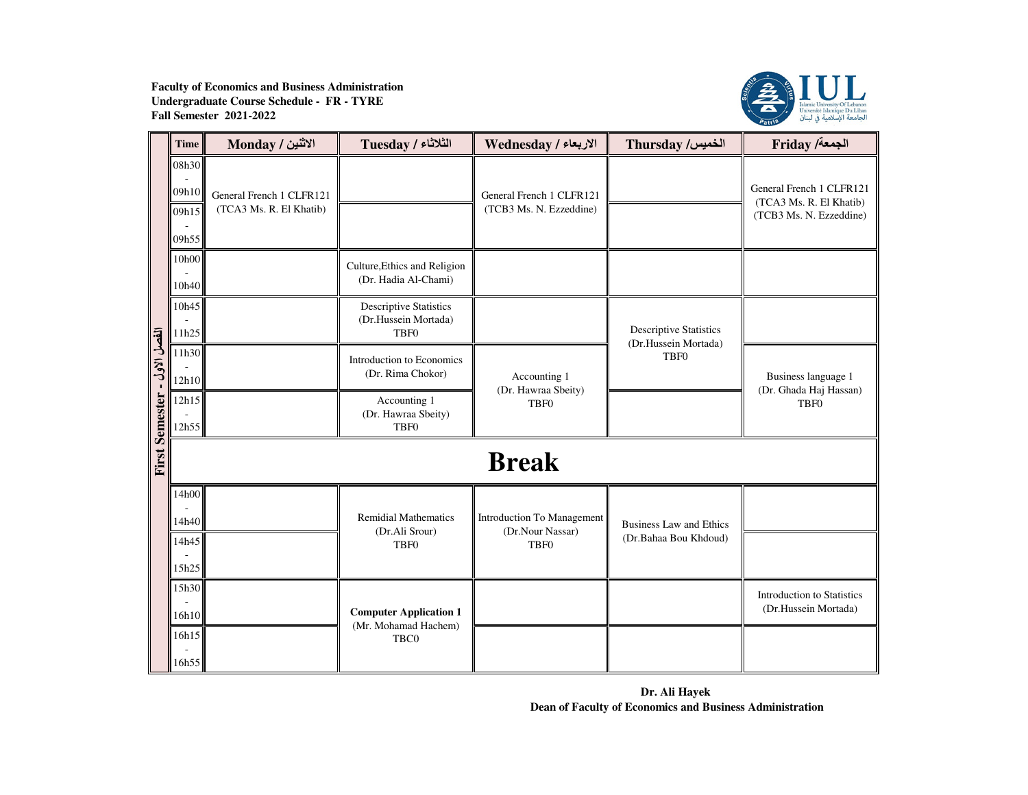

|                              | <b>Time</b>                      | الاثنين / Monday                                    | الثلاثاء / Tuesday                                                        | الاربعاء / Wednesday                                | Thursday /الخميس                         | <b>Friday /ألجمعة</b>                                                          |  |  |
|------------------------------|----------------------------------|-----------------------------------------------------|---------------------------------------------------------------------------|-----------------------------------------------------|------------------------------------------|--------------------------------------------------------------------------------|--|--|
|                              | 08h30<br>09h10<br>09h15<br>09h55 | General French 1 CLFR121<br>(TCA3 Ms. R. El Khatib) |                                                                           | General French 1 CLFR121<br>(TCB3 Ms. N. Ezzeddine) |                                          | General French 1 CLFR121<br>(TCA3 Ms. R. El Khatib)<br>(TCB3 Ms. N. Ezzeddine) |  |  |
|                              | 10h00<br>10h40                   |                                                     | Culture, Ethics and Religion<br>(Dr. Hadia Al-Chami)                      |                                                     |                                          |                                                                                |  |  |
|                              | 10h45<br>11h25                   |                                                     | <b>Descriptive Statistics</b><br>(Dr.Hussein Mortada)<br>TBF <sub>0</sub> |                                                     | <b>Descriptive Statistics</b>            |                                                                                |  |  |
| الفصل الاول - First Semester | 11h30<br>12h10                   |                                                     | Introduction to Economics<br>(Dr. Rima Chokor)                            | Accounting 1<br>(Dr. Hawraa Sbeity)                 | (Dr.Hussein Mortada)<br>TBF <sub>0</sub> | Business language 1<br>(Dr. Ghada Haj Hassan)<br>TBF <sub>0</sub>              |  |  |
|                              | 12h15<br>12h55                   |                                                     | Accounting 1<br>(Dr. Hawraa Sbeity)<br>TBF <sub>0</sub>                   | <b>TBF0</b>                                         |                                          |                                                                                |  |  |
|                              | <b>Break</b>                     |                                                     |                                                                           |                                                     |                                          |                                                                                |  |  |
|                              | 14h00<br>14h40                   |                                                     | <b>Remidial Mathematics</b><br>(Dr.Ali Srour)                             | Introduction To Management<br>(Dr.Nour Nassar)      | <b>Business Law and Ethics</b>           |                                                                                |  |  |
|                              | 14h45<br>15h25                   |                                                     | <b>TBF0</b>                                                               | <b>TBF0</b>                                         | (Dr.Bahaa Bou Khdoud)                    |                                                                                |  |  |
|                              | 15h30<br>16h10                   |                                                     | <b>Computer Application 1</b>                                             |                                                     |                                          | <b>Introduction</b> to Statistics<br>(Dr.Hussein Mortada)                      |  |  |
|                              | 16h15<br>16h55                   |                                                     | (Mr. Mohamad Hachem)<br>TBC0                                              |                                                     |                                          |                                                                                |  |  |

**Dr. Ali Hayek Dean of Faculty of Economics and Business Administration**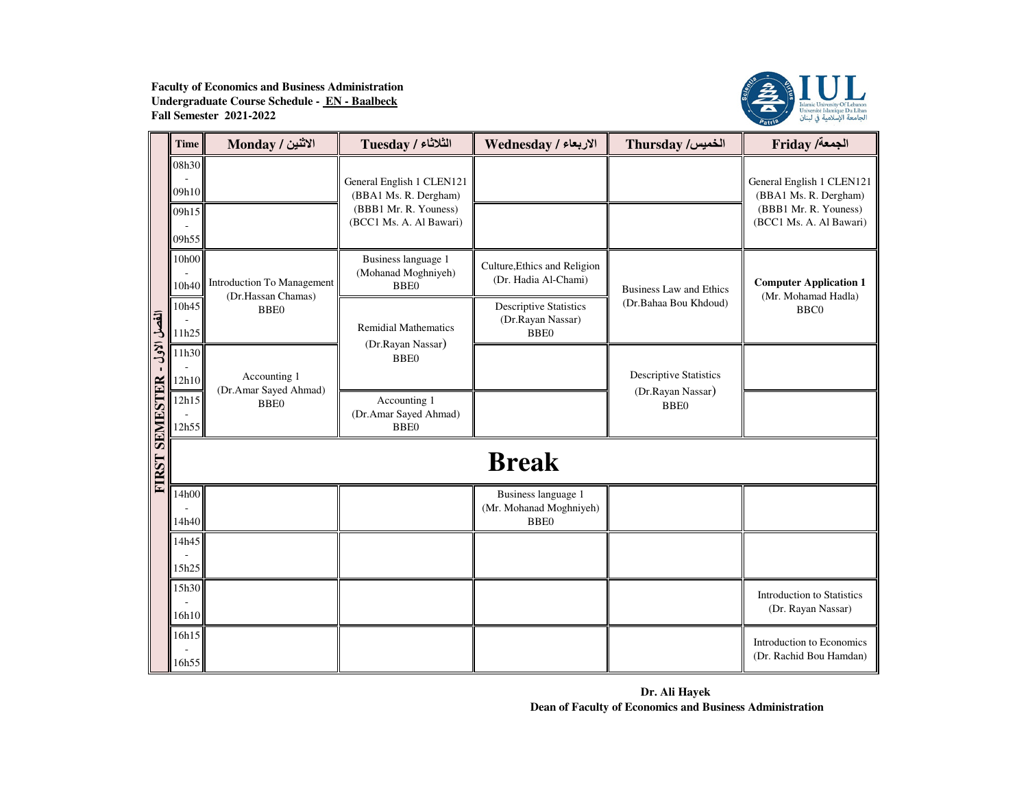

|                              | <b>Time</b>                      | الاثنين / Monday                                 | <b>Tuesday / الثلاثاء</b>                                                                              | الاربعاء / Wednesday                                              | Thursday /الخميس                                   | Friday /الجمعة                                                                                         |
|------------------------------|----------------------------------|--------------------------------------------------|--------------------------------------------------------------------------------------------------------|-------------------------------------------------------------------|----------------------------------------------------|--------------------------------------------------------------------------------------------------------|
|                              | 08h30<br>09h10<br>09h15<br>09h55 |                                                  | General English 1 CLEN121<br>(BBA1 Ms. R. Dergham)<br>(BBB1 Mr. R. Youness)<br>(BCC1 Ms. A. Al Bawari) |                                                                   |                                                    | General English 1 CLEN121<br>(BBA1 Ms. R. Dergham)<br>(BBB1 Mr. R. Youness)<br>(BCC1 Ms. A. Al Bawari) |
|                              | 10h00<br>10h40                   | Introduction To Management<br>(Dr.Hassan Chamas) | Business language 1<br>(Mohanad Moghniyeh)<br><b>BBE0</b>                                              | Culture, Ethics and Religion<br>(Dr. Hadia Al-Chami)              | <b>Business Law and Ethics</b>                     | <b>Computer Application 1</b><br>(Mr. Mohamad Hadla)                                                   |
|                              | 10h45<br>11h25                   | <b>BBE0</b>                                      | <b>Remidial Mathematics</b><br>(Dr.Rayan Nassar)                                                       | <b>Descriptive Statistics</b><br>(Dr.Rayan Nassar)<br><b>BBE0</b> | (Dr.Bahaa Bou Khdoud)                              | <b>BBC0</b>                                                                                            |
| انفصل الاول - FIRST SEMESTER | 11h30<br>12h10                   | Accounting 1<br>(Dr.Amar Sayed Ahmad)            | <b>BBE0</b>                                                                                            |                                                                   | <b>Descriptive Statistics</b><br>(Dr.Rayan Nassar) |                                                                                                        |
|                              | 12h15<br>12h55                   | <b>BBE0</b>                                      | Accounting 1<br>(Dr.Amar Sayed Ahmad)<br><b>BBE0</b>                                                   |                                                                   | <b>BBE0</b>                                        |                                                                                                        |
|                              |                                  |                                                  |                                                                                                        | <b>Break</b>                                                      |                                                    |                                                                                                        |
|                              | 14h00<br>14h40                   |                                                  |                                                                                                        | Business language 1<br>(Mr. Mohanad Moghniyeh)<br><b>BBE0</b>     |                                                    |                                                                                                        |
|                              | 14h45<br>15h25                   |                                                  |                                                                                                        |                                                                   |                                                    |                                                                                                        |
|                              | 15h30<br>16h10                   |                                                  |                                                                                                        |                                                                   |                                                    | <b>Introduction</b> to Statistics<br>(Dr. Rayan Nassar)                                                |
|                              | 16h15<br>16h55                   |                                                  |                                                                                                        |                                                                   |                                                    | Introduction to Economics<br>(Dr. Rachid Bou Hamdan)                                                   |